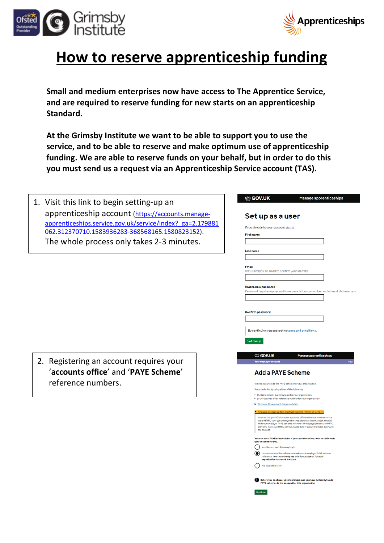



Manage apprenticeships

## **How to reserve apprenticeship funding**

**Small and medium enterprises now have access to The Apprentice Service, and are required to reserve funding for new starts on an apprenticeship Standard.**

**At the Grimsby Institute we want to be able to support you to use the service, and to be able to reserve and make optimum use of apprenticeship funding. We are able to reserve funds on your behalf, but in order to do this you must send us a request via an Apprenticeship Service account (TAS).**

<sup>ା</sup>ଳିତ GOV.UK

| 1. Visit this link to begin setting-up an                 |                                                                                                                                                                                                                           |
|-----------------------------------------------------------|---------------------------------------------------------------------------------------------------------------------------------------------------------------------------------------------------------------------------|
| apprenticeship account (https://accounts.manage-          |                                                                                                                                                                                                                           |
| apprenticeships.service.gov.uk/service/index? ga=2.179881 | Set up as a user                                                                                                                                                                                                          |
|                                                           | If you already have an account sign in                                                                                                                                                                                    |
| 062.312370710.1583936283-368568165.1580823152).           | <b>First name</b>                                                                                                                                                                                                         |
| The whole process only takes 2-3 minutes.                 |                                                                                                                                                                                                                           |
|                                                           | <b>Last name</b>                                                                                                                                                                                                          |
|                                                           |                                                                                                                                                                                                                           |
|                                                           | <b>Email</b><br>We'll send you an email to confirm your identity.                                                                                                                                                         |
|                                                           |                                                                                                                                                                                                                           |
|                                                           | Create new password                                                                                                                                                                                                       |
|                                                           | Password requires upper and lowercase letters, a number and at least 8 characters.                                                                                                                                        |
|                                                           |                                                                                                                                                                                                                           |
|                                                           | <b>Confirm password</b>                                                                                                                                                                                                   |
|                                                           |                                                                                                                                                                                                                           |
|                                                           | By continuing you accept the terms and conditions.                                                                                                                                                                        |
|                                                           |                                                                                                                                                                                                                           |
|                                                           | Set me up                                                                                                                                                                                                                 |
|                                                           | the GOV.UK<br>Manage apprenticeships                                                                                                                                                                                      |
| 2. Registering an account requires your                   | Your employer account                                                                                                                                                                                                     |
| 'accounts office' and 'PAYE Scheme'                       | <b>Add a PAYE Scheme</b>                                                                                                                                                                                                  |
| reference numbers.                                        |                                                                                                                                                                                                                           |
|                                                           | We need you to add the PAYE scheme for your organisation<br>You can do this by using either of the following:                                                                                                             |
|                                                           | . the Government Gateway login for your organisation<br>. your accounts office reference number for your organisation                                                                                                     |
|                                                           | Find your Government Gateway details                                                                                                                                                                                      |
|                                                           | Find your accounts office and PAYE scheme reference num                                                                                                                                                                   |
|                                                           | You can find your 13-character accounts office reference number on the<br>letter HMRC sent you when you first registered as an employer. You will<br>find your employer PAYE scheme reference in the payslip booklet HMRC |
|                                                           | provided. Contact HMRC or your accountant if you do not have access to<br>the booklet.                                                                                                                                    |
|                                                           | You can add a PAYE scheme later if you need more time, we can still create<br>your account for you.                                                                                                                       |
|                                                           | Use Government Gateway log in                                                                                                                                                                                             |
|                                                           | Use accounts office reference number and employer PAYE scheme<br>reference. You should only use this if your payroll for your                                                                                             |
|                                                           | organisation is under £3 million<br>No, I'll do this later                                                                                                                                                                |
|                                                           |                                                                                                                                                                                                                           |
|                                                           | Before you continue, you must make sure you have authority to add<br>PAYE schemes to the account for this organisation                                                                                                    |
|                                                           | Continue                                                                                                                                                                                                                  |